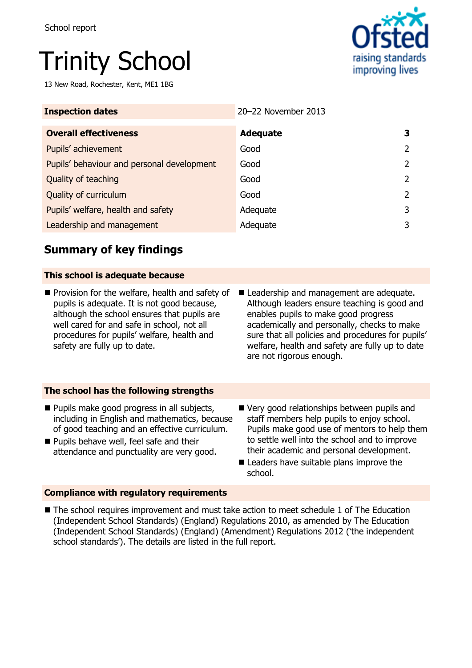# Trinity School

13 New Road, Rochester, Kent, ME1 1BG



| <b>Inspection dates</b>                    | 20-22 November 2013 |   |
|--------------------------------------------|---------------------|---|
| <b>Overall effectiveness</b>               | <b>Adequate</b>     | 3 |
| Pupils' achievement                        | Good                | 2 |
| Pupils' behaviour and personal development | Good                | 2 |
| Quality of teaching                        | Good                | 2 |
| Quality of curriculum                      | Good                | 2 |
| Pupils' welfare, health and safety         | Adequate            | 3 |
| Leadership and management                  | Adequate            | 3 |

## **Summary of key findings**

#### **This school is adequate because**

- $\blacksquare$  Provision for the welfare, health and safety of pupils is adequate. It is not good because, although the school ensures that pupils are well cared for and safe in school, not all procedures for pupils' welfare, health and safety are fully up to date.
- Leadership and management are adequate. Although leaders ensure teaching is good and enables pupils to make good progress academically and personally, checks to make sure that all policies and procedures for pupils' welfare, health and safety are fully up to date are not rigorous enough.

## **The school has the following strengths**

- **Pupils make good progress in all subjects,** including in English and mathematics, because of good teaching and an effective curriculum.
- **Pupils behave well, feel safe and their** attendance and punctuality are very good.
- Very good relationships between pupils and staff members help pupils to enjoy school. Pupils make good use of mentors to help them to settle well into the school and to improve their academic and personal development.
- Leaders have suitable plans improve the school.

## **Compliance with regulatory requirements**

■ The school requires improvement and must take action to meet schedule 1 of The Education (Independent School Standards) (England) Regulations 2010, as amended by The Education (Independent School Standards) (England) (Amendment) Regulations 2012 ('the independent school standards'). The details are listed in the full report.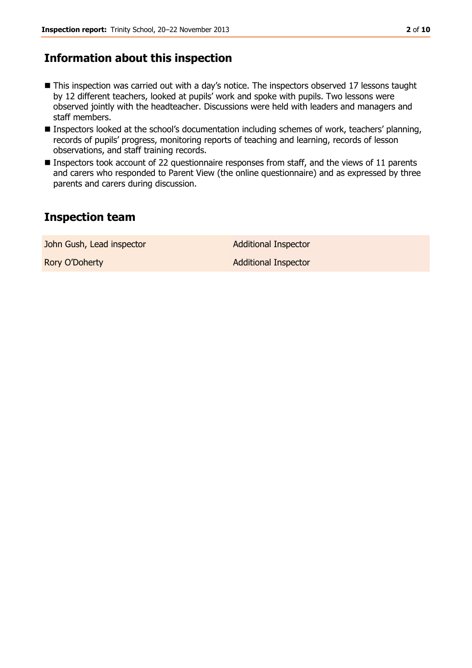## **Information about this inspection**

- This inspection was carried out with a day's notice. The inspectors observed 17 lessons taught by 12 different teachers, looked at pupils' work and spoke with pupils. Two lessons were observed jointly with the headteacher. Discussions were held with leaders and managers and staff members.
- Inspectors looked at the school's documentation including schemes of work, teachers' planning, records of pupils' progress, monitoring reports of teaching and learning, records of lesson observations, and staff training records.
- Inspectors took account of 22 questionnaire responses from staff, and the views of 11 parents and carers who responded to Parent View (the online questionnaire) and as expressed by three parents and carers during discussion.

## **Inspection team**

John Gush, Lead inspector **Additional Inspector** 

Rory O'Doherty **Additional Inspector** Additional Inspector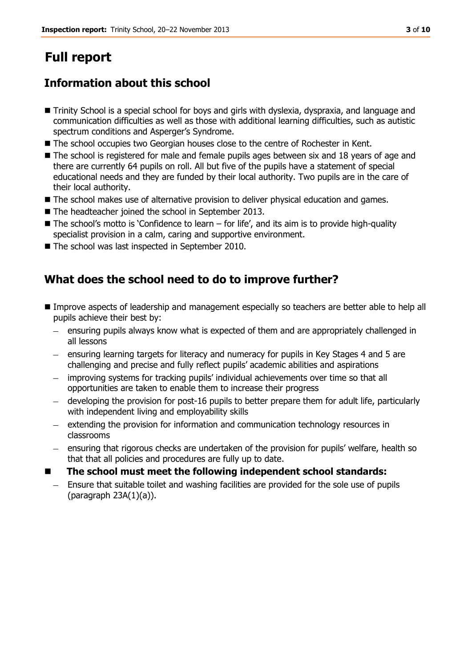# **Full report**

## **Information about this school**

- Trinity School is a special school for boys and girls with dyslexia, dyspraxia, and language and communication difficulties as well as those with additional learning difficulties, such as autistic spectrum conditions and Asperger's Syndrome.
- The school occupies two Georgian houses close to the centre of Rochester in Kent.
- The school is registered for male and female pupils ages between six and 18 years of age and there are currently 64 pupils on roll. All but five of the pupils have a statement of special educational needs and they are funded by their local authority. Two pupils are in the care of their local authority.
- The school makes use of alternative provision to deliver physical education and games.
- The headteacher joined the school in September 2013.
- $\blacksquare$  The school's motto is 'Confidence to learn for life', and its aim is to provide high-quality specialist provision in a calm, caring and supportive environment.
- The school was last inspected in September 2010.

## **What does the school need to do to improve further?**

- **Improve aspects of leadership and management especially so teachers are better able to help all** pupils achieve their best by:
	- ensuring pupils always know what is expected of them and are appropriately challenged in all lessons
	- ensuring learning targets for literacy and numeracy for pupils in Key Stages 4 and 5 are challenging and precise and fully reflect pupils' academic abilities and aspirations
	- improving systems for tracking pupils' individual achievements over time so that all opportunities are taken to enable them to increase their progress
	- developing the provision for post-16 pupils to better prepare them for adult life, particularly with independent living and employability skills
	- extending the provision for information and communication technology resources in  $\,$ classrooms
	- ensuring that rigorous checks are undertaken of the provision for pupils' welfare, health so that that all policies and procedures are fully up to date.
- **The school must meet the following independent school standards:**
- Ensure that suitable toilet and washing facilities are provided for the sole use of pupils (paragraph 23A(1)(a)).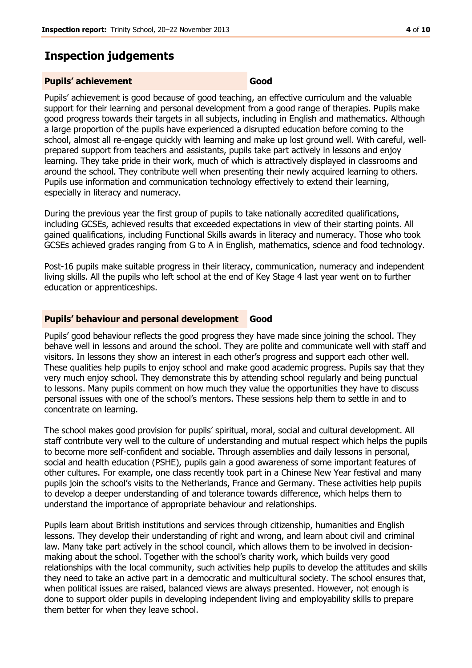## **Inspection judgements**

#### **Pupils' achievement Good**

Pupils' achievement is good because of good teaching, an effective curriculum and the valuable support for their learning and personal development from a good range of therapies. Pupils make good progress towards their targets in all subjects, including in English and mathematics. Although a large proportion of the pupils have experienced a disrupted education before coming to the school, almost all re-engage quickly with learning and make up lost ground well. With careful, wellprepared support from teachers and assistants, pupils take part actively in lessons and enjoy learning. They take pride in their work, much of which is attractively displayed in classrooms and around the school. They contribute well when presenting their newly acquired learning to others. Pupils use information and communication technology effectively to extend their learning, especially in literacy and numeracy.

During the previous year the first group of pupils to take nationally accredited qualifications, including GCSEs, achieved results that exceeded expectations in view of their starting points. All gained qualifications, including Functional Skills awards in literacy and numeracy. Those who took GCSEs achieved grades ranging from G to A in English, mathematics, science and food technology.

Post-16 pupils make suitable progress in their literacy, communication, numeracy and independent living skills. All the pupils who left school at the end of Key Stage 4 last year went on to further education or apprenticeships.

#### **Pupils' behaviour and personal development Good**

Pupils' good behaviour reflects the good progress they have made since joining the school. They behave well in lessons and around the school. They are polite and communicate well with staff and visitors. In lessons they show an interest in each other's progress and support each other well. These qualities help pupils to enjoy school and make good academic progress. Pupils say that they very much enjoy school. They demonstrate this by attending school regularly and being punctual to lessons. Many pupils comment on how much they value the opportunities they have to discuss personal issues with one of the school's mentors. These sessions help them to settle in and to concentrate on learning.

The school makes good provision for pupils' spiritual, moral, social and cultural development. All staff contribute very well to the culture of understanding and mutual respect which helps the pupils to become more self-confident and sociable. Through assemblies and daily lessons in personal, social and health education (PSHE), pupils gain a good awareness of some important features of other cultures. For example, one class recently took part in a Chinese New Year festival and many pupils join the school's visits to the Netherlands, France and Germany. These activities help pupils to develop a deeper understanding of and tolerance towards difference, which helps them to understand the importance of appropriate behaviour and relationships.

Pupils learn about British institutions and services through citizenship, humanities and English lessons. They develop their understanding of right and wrong, and learn about civil and criminal law. Many take part actively in the school council, which allows them to be involved in decisionmaking about the school. Together with the school's charity work, which builds very good relationships with the local community, such activities help pupils to develop the attitudes and skills they need to take an active part in a democratic and multicultural society. The school ensures that, when political issues are raised, balanced views are always presented. However, not enough is done to support older pupils in developing independent living and employability skills to prepare them better for when they leave school.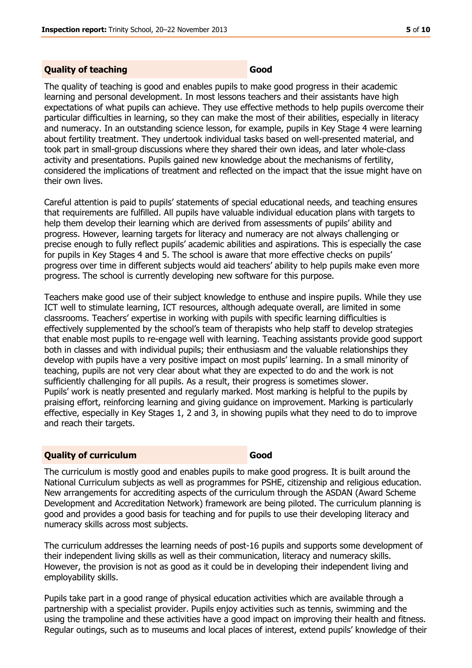#### **Quality of teaching Good**

The quality of teaching is good and enables pupils to make good progress in their academic learning and personal development. In most lessons teachers and their assistants have high expectations of what pupils can achieve. They use effective methods to help pupils overcome their particular difficulties in learning, so they can make the most of their abilities, especially in literacy and numeracy. In an outstanding science lesson, for example, pupils in Key Stage 4 were learning about fertility treatment. They undertook individual tasks based on well-presented material, and took part in small-group discussions where they shared their own ideas, and later whole-class activity and presentations. Pupils gained new knowledge about the mechanisms of fertility, considered the implications of treatment and reflected on the impact that the issue might have on their own lives.

Careful attention is paid to pupils' statements of special educational needs, and teaching ensures that requirements are fulfilled. All pupils have valuable individual education plans with targets to help them develop their learning which are derived from assessments of pupils' ability and progress. However, learning targets for literacy and numeracy are not always challenging or precise enough to fully reflect pupils' academic abilities and aspirations. This is especially the case for pupils in Key Stages 4 and 5. The school is aware that more effective checks on pupils' progress over time in different subjects would aid teachers' ability to help pupils make even more progress. The school is currently developing new software for this purpose.

Teachers make good use of their subject knowledge to enthuse and inspire pupils. While they use ICT well to stimulate learning, ICT resources, although adequate overall, are limited in some classrooms. Teachers' expertise in working with pupils with specific learning difficulties is effectively supplemented by the school's team of therapists who help staff to develop strategies that enable most pupils to re-engage well with learning. Teaching assistants provide good support both in classes and with individual pupils; their enthusiasm and the valuable relationships they develop with pupils have a very positive impact on most pupils' learning. In a small minority of teaching, pupils are not very clear about what they are expected to do and the work is not sufficiently challenging for all pupils. As a result, their progress is sometimes slower. Pupils' work is neatly presented and regularly marked. Most marking is helpful to the pupils by praising effort, reinforcing learning and giving guidance on improvement. Marking is particularly effective, especially in Key Stages 1, 2 and 3, in showing pupils what they need to do to improve and reach their targets.

#### **Quality of curriculum Good**

The curriculum is mostly good and enables pupils to make good progress. It is built around the National Curriculum subjects as well as programmes for PSHE, citizenship and religious education. New arrangements for accrediting aspects of the curriculum through the ASDAN (Award Scheme Development and Accreditation Network) framework are being piloted. The curriculum planning is good and provides a good basis for teaching and for pupils to use their developing literacy and numeracy skills across most subjects.

The curriculum addresses the learning needs of post-16 pupils and supports some development of their independent living skills as well as their communication, literacy and numeracy skills. However, the provision is not as good as it could be in developing their independent living and employability skills.

Pupils take part in a good range of physical education activities which are available through a partnership with a specialist provider. Pupils enjoy activities such as tennis, swimming and the using the trampoline and these activities have a good impact on improving their health and fitness. Regular outings, such as to museums and local places of interest, extend pupils' knowledge of their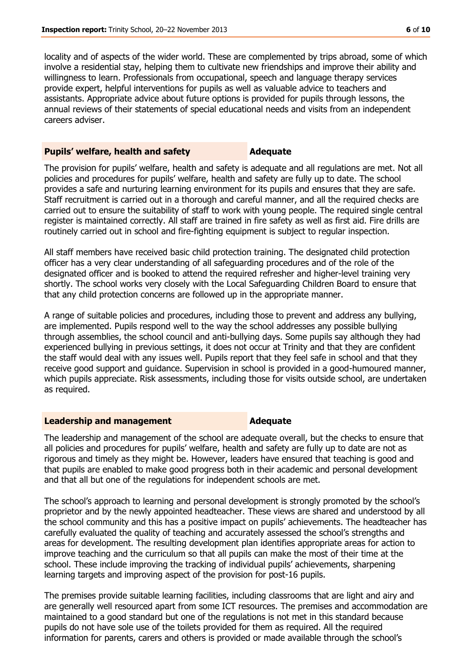locality and of aspects of the wider world. These are complemented by trips abroad, some of which involve a residential stay, helping them to cultivate new friendships and improve their ability and willingness to learn. Professionals from occupational, speech and language therapy services provide expert, helpful interventions for pupils as well as valuable advice to teachers and assistants. Appropriate advice about future options is provided for pupils through lessons, the annual reviews of their statements of special educational needs and visits from an independent careers adviser.

#### **Pupils' welfare, health and safety <b>Adequate**

The provision for pupils' welfare, health and safety is adequate and all regulations are met. Not all policies and procedures for pupils' welfare, health and safety are fully up to date. The school provides a safe and nurturing learning environment for its pupils and ensures that they are safe. Staff recruitment is carried out in a thorough and careful manner, and all the required checks are carried out to ensure the suitability of staff to work with young people. The required single central register is maintained correctly. All staff are trained in fire safety as well as first aid. Fire drills are routinely carried out in school and fire-fighting equipment is subject to regular inspection.

All staff members have received basic child protection training. The designated child protection officer has a very clear understanding of all safeguarding procedures and of the role of the designated officer and is booked to attend the required refresher and higher-level training very shortly. The school works very closely with the Local Safeguarding Children Board to ensure that that any child protection concerns are followed up in the appropriate manner.

A range of suitable policies and procedures, including those to prevent and address any bullying, are implemented. Pupils respond well to the way the school addresses any possible bullying through assemblies, the school council and anti-bullying days. Some pupils say although they had experienced bullying in previous settings, it does not occur at Trinity and that they are confident the staff would deal with any issues well. Pupils report that they feel safe in school and that they receive good support and guidance. Supervision in school is provided in a good-humoured manner, which pupils appreciate. Risk assessments, including those for visits outside school, are undertaken as required.

#### **Leadership and management Adequate**

The leadership and management of the school are adequate overall, but the checks to ensure that all policies and procedures for pupils' welfare, health and safety are fully up to date are not as rigorous and timely as they might be. However, leaders have ensured that teaching is good and that pupils are enabled to make good progress both in their academic and personal development and that all but one of the regulations for independent schools are met.

The school's approach to learning and personal development is strongly promoted by the school's proprietor and by the newly appointed headteacher. These views are shared and understood by all the school community and this has a positive impact on pupils' achievements. The headteacher has carefully evaluated the quality of teaching and accurately assessed the school's strengths and areas for development. The resulting development plan identifies appropriate areas for action to improve teaching and the curriculum so that all pupils can make the most of their time at the school. These include improving the tracking of individual pupils' achievements, sharpening learning targets and improving aspect of the provision for post-16 pupils.

The premises provide suitable learning facilities, including classrooms that are light and airy and are generally well resourced apart from some ICT resources. The premises and accommodation are maintained to a good standard but one of the regulations is not met in this standard because pupils do not have sole use of the toilets provided for them as required. All the required information for parents, carers and others is provided or made available through the school's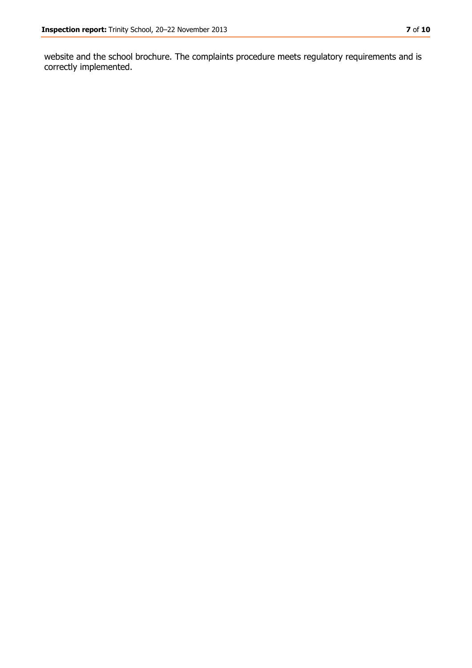website and the school brochure. The complaints procedure meets regulatory requirements and is correctly implemented.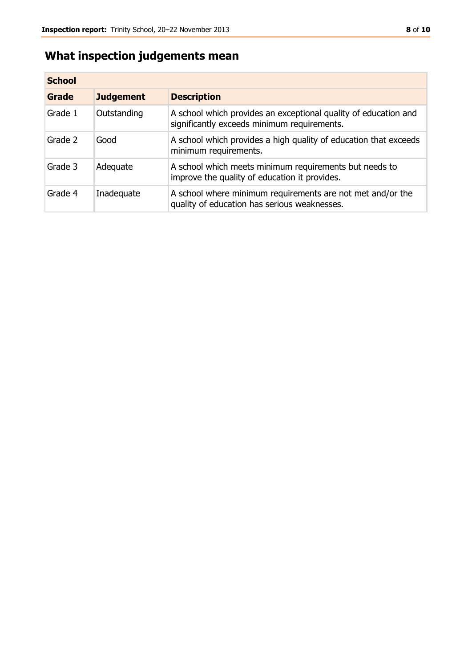## **What inspection judgements mean**

| <b>School</b> |                  |                                                                                                                |
|---------------|------------------|----------------------------------------------------------------------------------------------------------------|
| Grade         | <b>Judgement</b> | <b>Description</b>                                                                                             |
| Grade 1       | Outstanding      | A school which provides an exceptional quality of education and<br>significantly exceeds minimum requirements. |
| Grade 2       | Good             | A school which provides a high quality of education that exceeds<br>minimum requirements.                      |
| Grade 3       | Adequate         | A school which meets minimum requirements but needs to<br>improve the quality of education it provides.        |
| Grade 4       | Inadequate       | A school where minimum requirements are not met and/or the<br>quality of education has serious weaknesses.     |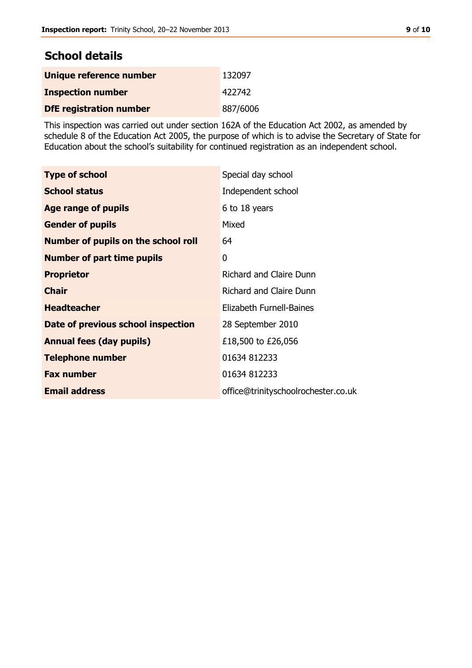## **School details**

| Unique reference number        | 132097   |
|--------------------------------|----------|
| <b>Inspection number</b>       | 422742   |
| <b>DfE</b> registration number | 887/6006 |

This inspection was carried out under section 162A of the Education Act 2002, as amended by schedule 8 of the Education Act 2005, the purpose of which is to advise the Secretary of State for Education about the school's suitability for continued registration as an independent school.

| <b>Type of school</b>                      | Special day school                  |
|--------------------------------------------|-------------------------------------|
| <b>School status</b>                       | Independent school                  |
| Age range of pupils                        | 6 to 18 years                       |
| <b>Gender of pupils</b>                    | Mixed                               |
| <b>Number of pupils on the school roll</b> | 64                                  |
| <b>Number of part time pupils</b>          | 0                                   |
| <b>Proprietor</b>                          | <b>Richard and Claire Dunn</b>      |
| <b>Chair</b>                               | <b>Richard and Claire Dunn</b>      |
| <b>Headteacher</b>                         | Elizabeth Furnell-Baines            |
| Date of previous school inspection         | 28 September 2010                   |
| <b>Annual fees (day pupils)</b>            | £18,500 to £26,056                  |
| <b>Telephone number</b>                    | 01634 812233                        |
| <b>Fax number</b>                          | 01634 812233                        |
| <b>Email address</b>                       | office@trinityschoolrochester.co.uk |